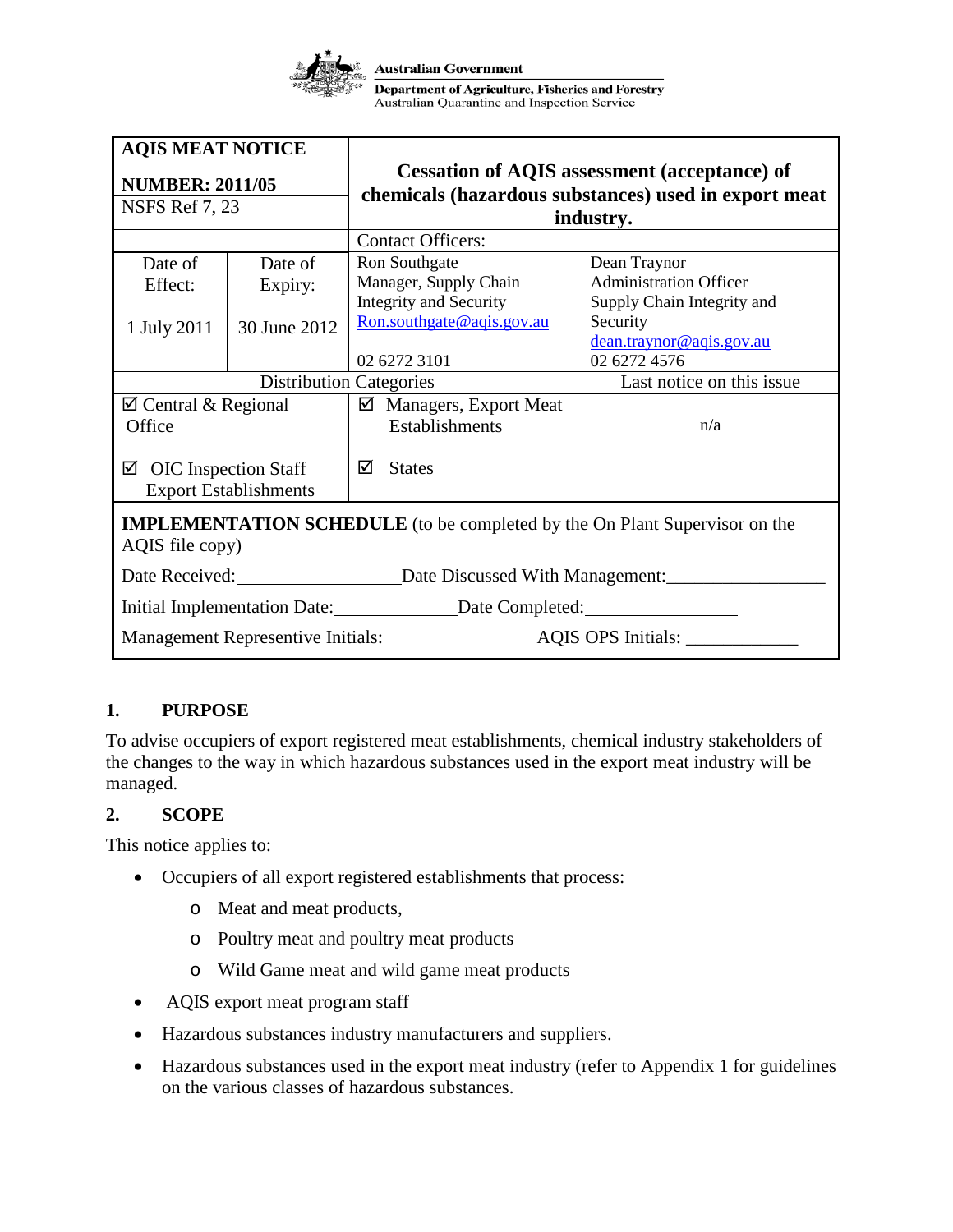

| <b>AQIS MEAT NOTICE</b><br><b>NUMBER: 2011/05</b>                                                    |              | <b>Cessation of AQIS assessment (acceptance) of</b><br>chemicals (hazardous substances) used in export meat |                               |
|------------------------------------------------------------------------------------------------------|--------------|-------------------------------------------------------------------------------------------------------------|-------------------------------|
| <b>NSFS Ref 7, 23</b>                                                                                |              | industry.                                                                                                   |                               |
|                                                                                                      |              | <b>Contact Officers:</b>                                                                                    |                               |
| Date of                                                                                              | Date of      | Ron Southgate                                                                                               | Dean Traynor                  |
| Effect:                                                                                              | Expiry:      | Manager, Supply Chain                                                                                       | <b>Administration Officer</b> |
|                                                                                                      |              | Integrity and Security                                                                                      | Supply Chain Integrity and    |
| 1 July 2011                                                                                          | 30 June 2012 | Ron.southgate@aqis.gov.au                                                                                   | Security                      |
|                                                                                                      |              |                                                                                                             | dean.traynor@aqis.gov.au      |
|                                                                                                      |              | 02 6272 3101                                                                                                | 02 6272 4576                  |
| <b>Distribution Categories</b>                                                                       |              |                                                                                                             | Last notice on this issue     |
| $\boxtimes$ Central & Regional                                                                       |              | $\boxtimes$ Managers, Export Meat                                                                           |                               |
| Office                                                                                               |              | Establishments                                                                                              | n/a                           |
| $\boxtimes$ OIC Inspection Staff<br><b>Export Establishments</b>                                     |              | ☑<br><b>States</b>                                                                                          |                               |
| <b>IMPLEMENTATION SCHEDULE</b> (to be completed by the On Plant Supervisor on the<br>AQIS file copy) |              |                                                                                                             |                               |
|                                                                                                      |              | Date Received: Date Discussed With Management:                                                              |                               |
| Initial Implementation Date: ________________Date Completed: ___________________                     |              |                                                                                                             |                               |
| Management Representive Initials:<br>AQIS OPS Initials: _____________                                |              |                                                                                                             |                               |

## **1. PURPOSE**

To advise occupiers of export registered meat establishments, chemical industry stakeholders of the changes to the way in which hazardous substances used in the export meat industry will be managed.

### **2. SCOPE**

This notice applies to:

- Occupiers of all export registered establishments that process:
	- o Meat and meat products,
	- o Poultry meat and poultry meat products
	- o Wild Game meat and wild game meat products
- AQIS export meat program staff
- Hazardous substances industry manufacturers and suppliers.
- Hazardous substances used in the export meat industry (refer to Appendix 1 for guidelines on the various classes of hazardous substances.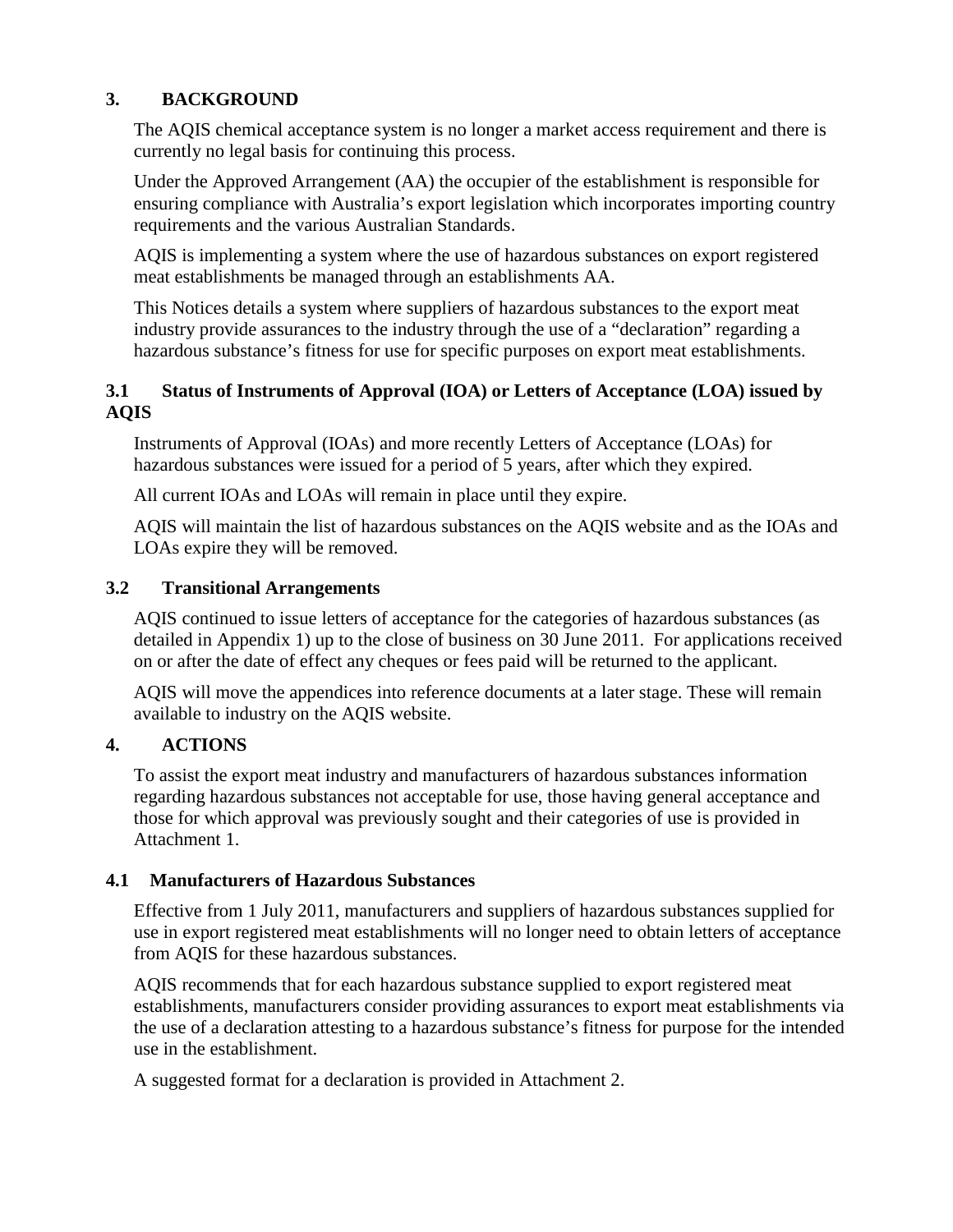## **3. BACKGROUND**

The AQIS chemical acceptance system is no longer a market access requirement and there is currently no legal basis for continuing this process.

Under the Approved Arrangement (AA) the occupier of the establishment is responsible for ensuring compliance with Australia's export legislation which incorporates importing country requirements and the various Australian Standards.

AQIS is implementing a system where the use of hazardous substances on export registered meat establishments be managed through an establishments AA.

This Notices details a system where suppliers of hazardous substances to the export meat industry provide assurances to the industry through the use of a "declaration" regarding a hazardous substance's fitness for use for specific purposes on export meat establishments.

### **3.1 Status of Instruments of Approval (IOA) or Letters of Acceptance (LOA) issued by AQIS**

Instruments of Approval (IOAs) and more recently Letters of Acceptance (LOAs) for hazardous substances were issued for a period of 5 years, after which they expired.

All current IOAs and LOAs will remain in place until they expire.

AQIS will maintain the list of hazardous substances on the AQIS website and as the IOAs and LOAs expire they will be removed.

## **3.2 Transitional Arrangements**

AQIS continued to issue letters of acceptance for the categories of hazardous substances (as detailed in Appendix 1) up to the close of business on 30 June 2011. For applications received on or after the date of effect any cheques or fees paid will be returned to the applicant.

AQIS will move the appendices into reference documents at a later stage. These will remain available to industry on the AQIS website.

## **4. ACTIONS**

To assist the export meat industry and manufacturers of hazardous substances information regarding hazardous substances not acceptable for use, those having general acceptance and those for which approval was previously sought and their categories of use is provided in Attachment 1.

## **4.1 Manufacturers of Hazardous Substances**

Effective from 1 July 2011, manufacturers and suppliers of hazardous substances supplied for use in export registered meat establishments will no longer need to obtain letters of acceptance from AQIS for these hazardous substances.

AQIS recommends that for each hazardous substance supplied to export registered meat establishments, manufacturers consider providing assurances to export meat establishments via the use of a declaration attesting to a hazardous substance's fitness for purpose for the intended use in the establishment.

A suggested format for a declaration is provided in Attachment 2.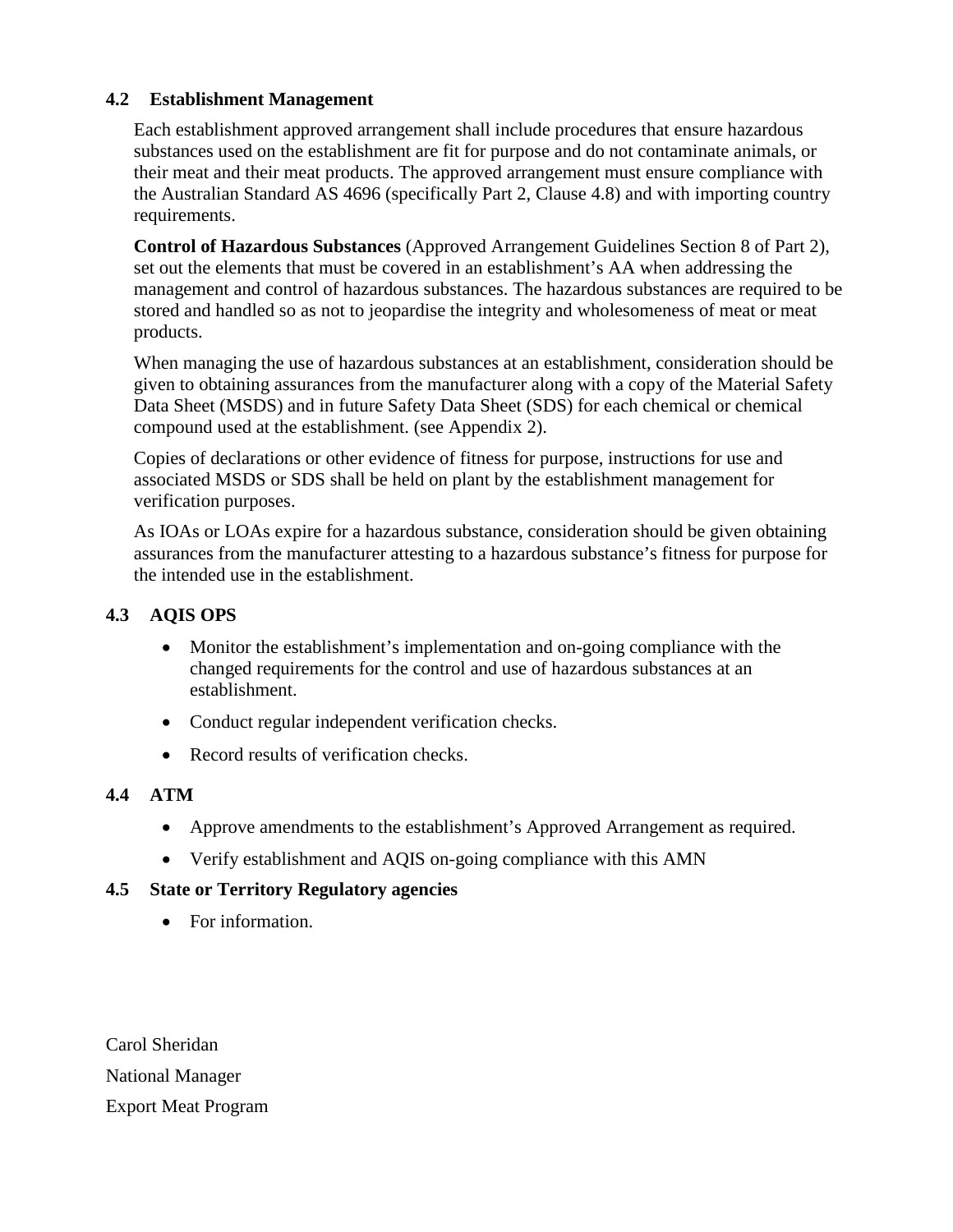### **4.2 Establishment Management**

Each establishment approved arrangement shall include procedures that ensure hazardous substances used on the establishment are fit for purpose and do not contaminate animals, or their meat and their meat products. The approved arrangement must ensure compliance with the Australian Standard AS 4696 (specifically Part 2, Clause 4.8) and with importing country requirements.

**Control of Hazardous Substances** (Approved Arrangement Guidelines Section 8 of Part 2), set out the elements that must be covered in an establishment's AA when addressing the management and control of hazardous substances. The hazardous substances are required to be stored and handled so as not to jeopardise the integrity and wholesomeness of meat or meat products.

When managing the use of hazardous substances at an establishment, consideration should be given to obtaining assurances from the manufacturer along with a copy of the Material Safety Data Sheet (MSDS) and in future Safety Data Sheet (SDS) for each chemical or chemical compound used at the establishment. (see Appendix 2).

Copies of declarations or other evidence of fitness for purpose, instructions for use and associated MSDS or SDS shall be held on plant by the establishment management for verification purposes.

As IOAs or LOAs expire for a hazardous substance, consideration should be given obtaining assurances from the manufacturer attesting to a hazardous substance's fitness for purpose for the intended use in the establishment.

### **4.3 AQIS OPS**

- Monitor the establishment's implementation and on-going compliance with the changed requirements for the control and use of hazardous substances at an establishment.
- Conduct regular independent verification checks.
- Record results of verification checks.

## **4.4 ATM**

- Approve amendments to the establishment's Approved Arrangement as required.
- Verify establishment and AQIS on-going compliance with this AMN

### **4.5 State or Territory Regulatory agencies**

• For information.

Carol Sheridan National Manager Export Meat Program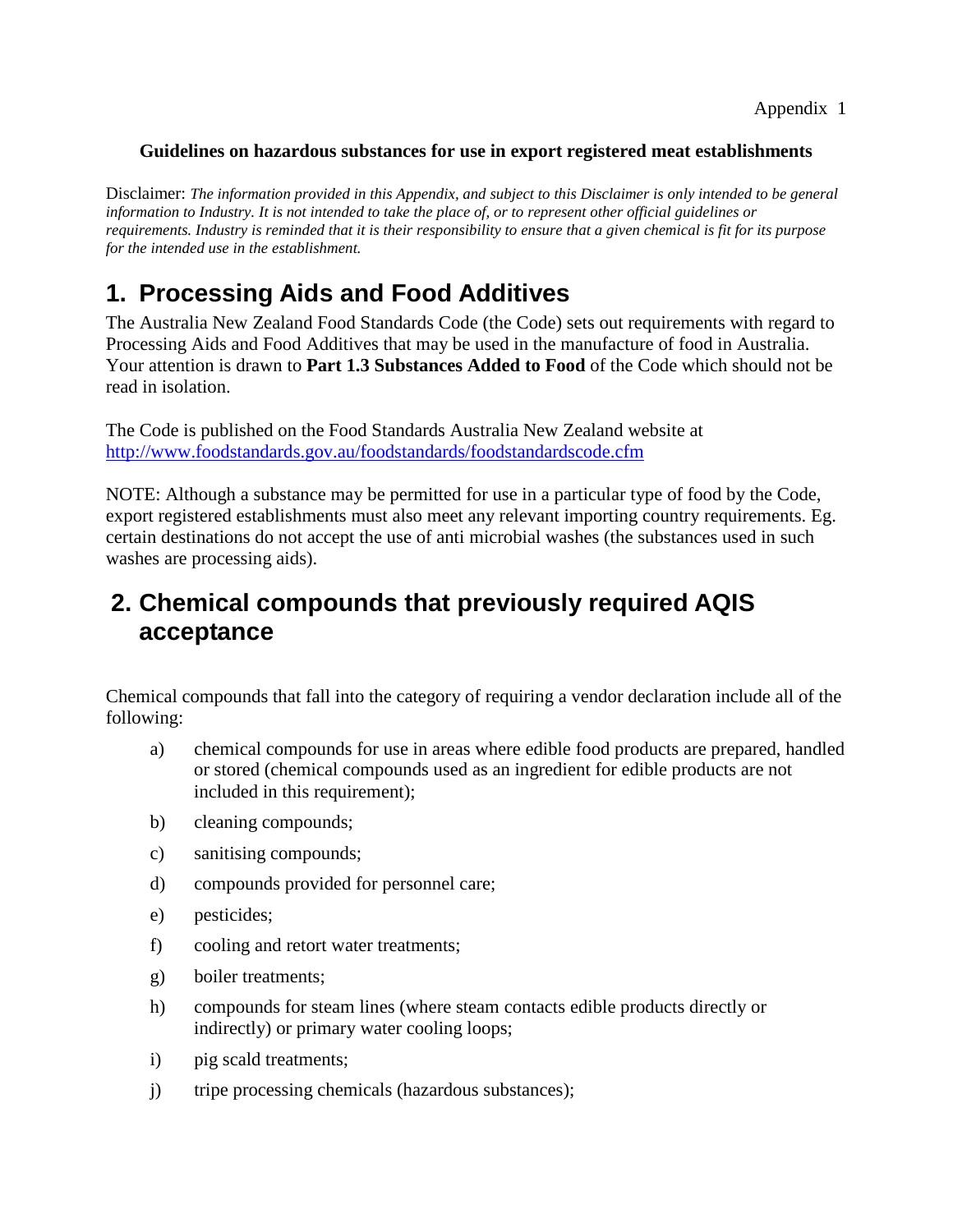#### **Guidelines on hazardous substances for use in export registered meat establishments**

Disclaimer: *The information provided in this Appendix, and subject to this Disclaimer is only intended to be general information to Industry. It is not intended to take the place of, or to represent other official guidelines or requirements. Industry is reminded that it is their responsibility to ensure that a given chemical is fit for its purpose for the intended use in the establishment.*

# **1. Processing Aids and Food Additives**

The Australia New Zealand Food Standards Code (the Code) sets out requirements with regard to Processing Aids and Food Additives that may be used in the manufacture of food in Australia. Your attention is drawn to **Part 1.3 Substances Added to Food** of the Code which should not be read in isolation.

The Code is published on the Food Standards Australia New Zealand website at <http://www.foodstandards.gov.au/foodstandards/foodstandardscode.cfm>

NOTE: Although a substance may be permitted for use in a particular type of food by the Code, export registered establishments must also meet any relevant importing country requirements. Eg. certain destinations do not accept the use of anti microbial washes (the substances used in such washes are processing aids).

## **2. Chemical compounds that previously required AQIS acceptance**

Chemical compounds that fall into the category of requiring a vendor declaration include all of the following:

- a) chemical compounds for use in areas where edible food products are prepared, handled or stored (chemical compounds used as an ingredient for edible products are not included in this requirement);
- b) cleaning compounds;
- c) sanitising compounds;
- d) compounds provided for personnel care;
- e) pesticides;
- f) cooling and retort water treatments;
- g) boiler treatments;
- h) compounds for steam lines (where steam contacts edible products directly or indirectly) or primary water cooling loops;
- i) pig scald treatments;
- j) tripe processing chemicals (hazardous substances);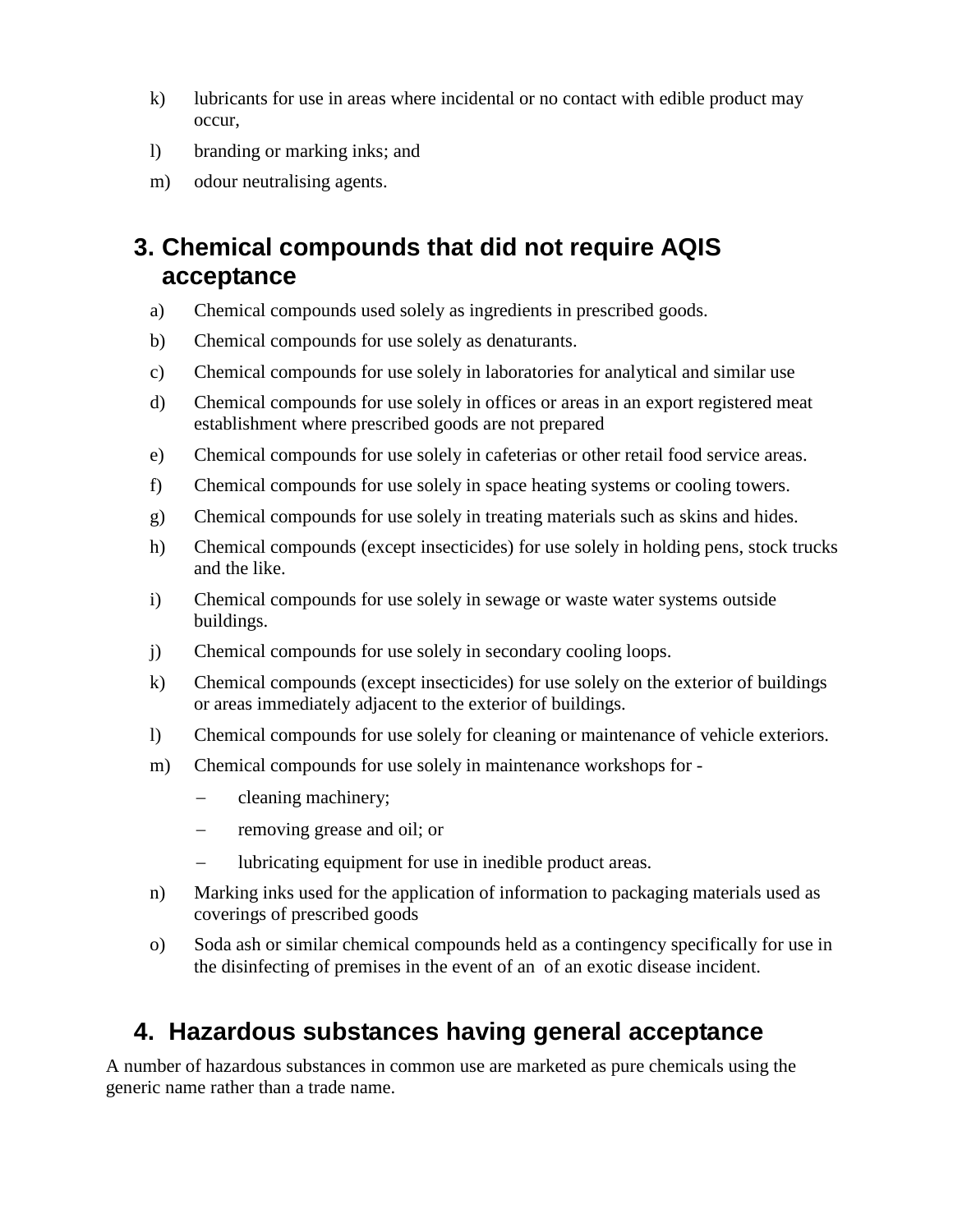- k) lubricants for use in areas where incidental or no contact with edible product may occur,
- l) branding or marking inks; and
- m) odour neutralising agents.

# **3. Chemical compounds that did not require AQIS acceptance**

- a) Chemical compounds used solely as ingredients in prescribed goods.
- b) Chemical compounds for use solely as denaturants.
- c) Chemical compounds for use solely in laboratories for analytical and similar use
- d) Chemical compounds for use solely in offices or areas in an export registered meat establishment where prescribed goods are not prepared
- e) Chemical compounds for use solely in cafeterias or other retail food service areas.
- f) Chemical compounds for use solely in space heating systems or cooling towers.
- g) Chemical compounds for use solely in treating materials such as skins and hides.
- h) Chemical compounds (except insecticides) for use solely in holding pens, stock trucks and the like.
- i) Chemical compounds for use solely in sewage or waste water systems outside buildings.
- j) Chemical compounds for use solely in secondary cooling loops.
- k) Chemical compounds (except insecticides) for use solely on the exterior of buildings or areas immediately adjacent to the exterior of buildings.
- l) Chemical compounds for use solely for cleaning or maintenance of vehicle exteriors.
- m) Chemical compounds for use solely in maintenance workshops for
	- − cleaning machinery;
	- − removing grease and oil; or
	- − lubricating equipment for use in inedible product areas.
- n) Marking inks used for the application of information to packaging materials used as coverings of prescribed goods
- o) Soda ash or similar chemical compounds held as a contingency specifically for use in the disinfecting of premises in the event of an of an exotic disease incident.

# **4. Hazardous substances having general acceptance**

A number of hazardous substances in common use are marketed as pure chemicals using the generic name rather than a trade name.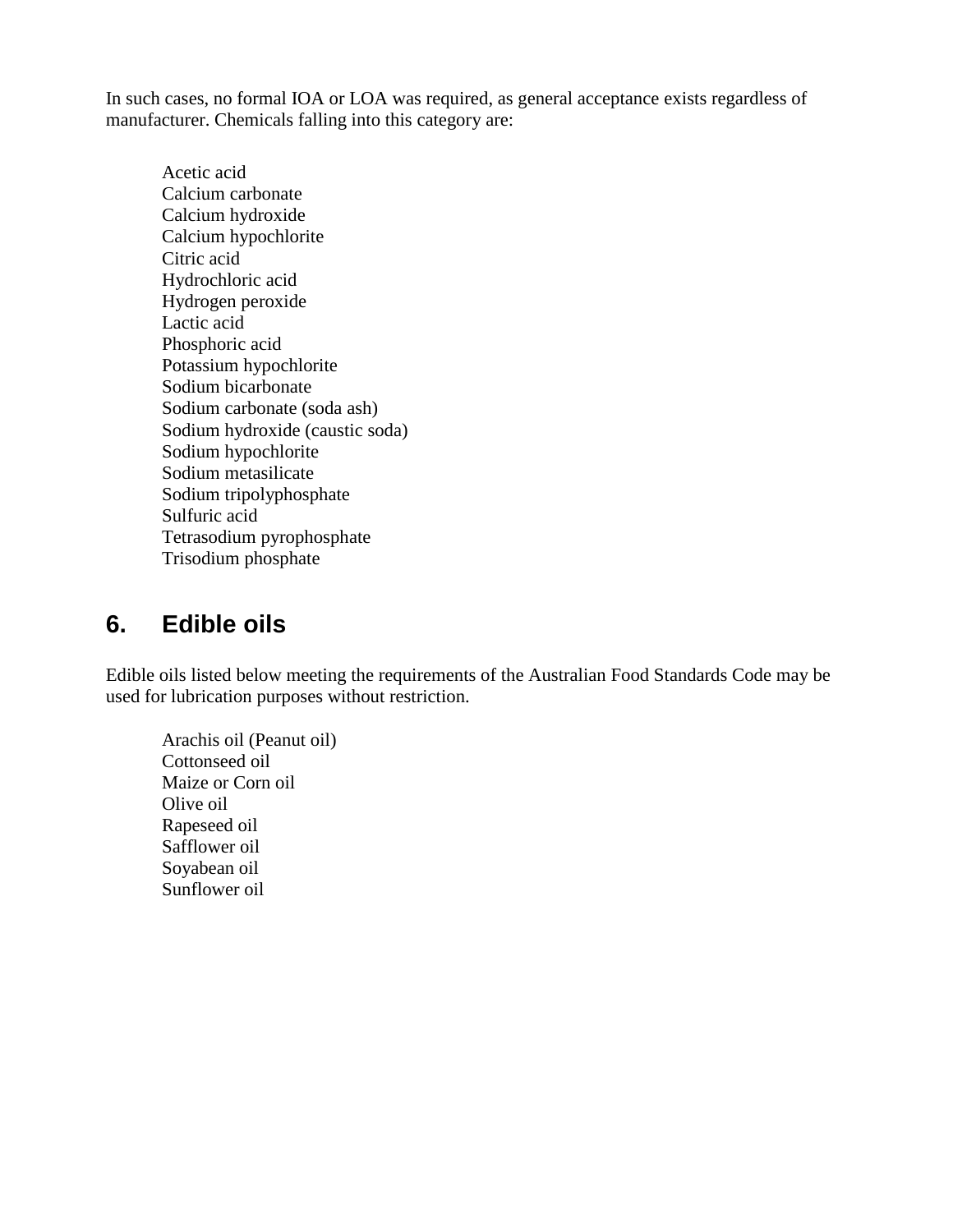In such cases, no formal IOA or LOA was required, as general acceptance exists regardless of manufacturer. Chemicals falling into this category are:

Acetic acid Calcium carbonate Calcium hydroxide Calcium hypochlorite Citric acid Hydrochloric acid Hydrogen peroxide Lactic acid Phosphoric acid Potassium hypochlorite Sodium bicarbonate Sodium carbonate (soda ash) Sodium hydroxide (caustic soda) Sodium hypochlorite Sodium metasilicate Sodium tripolyphosphate Sulfuric acid Tetrasodium pyrophosphate Trisodium phosphate

## **6. Edible oils**

Edible oils listed below meeting the requirements of the Australian Food Standards Code may be used for lubrication purposes without restriction.

Arachis oil (Peanut oil) Cottonseed oil Maize or Corn oil Olive oil Rapeseed oil Safflower oil Soyabean oil Sunflower oil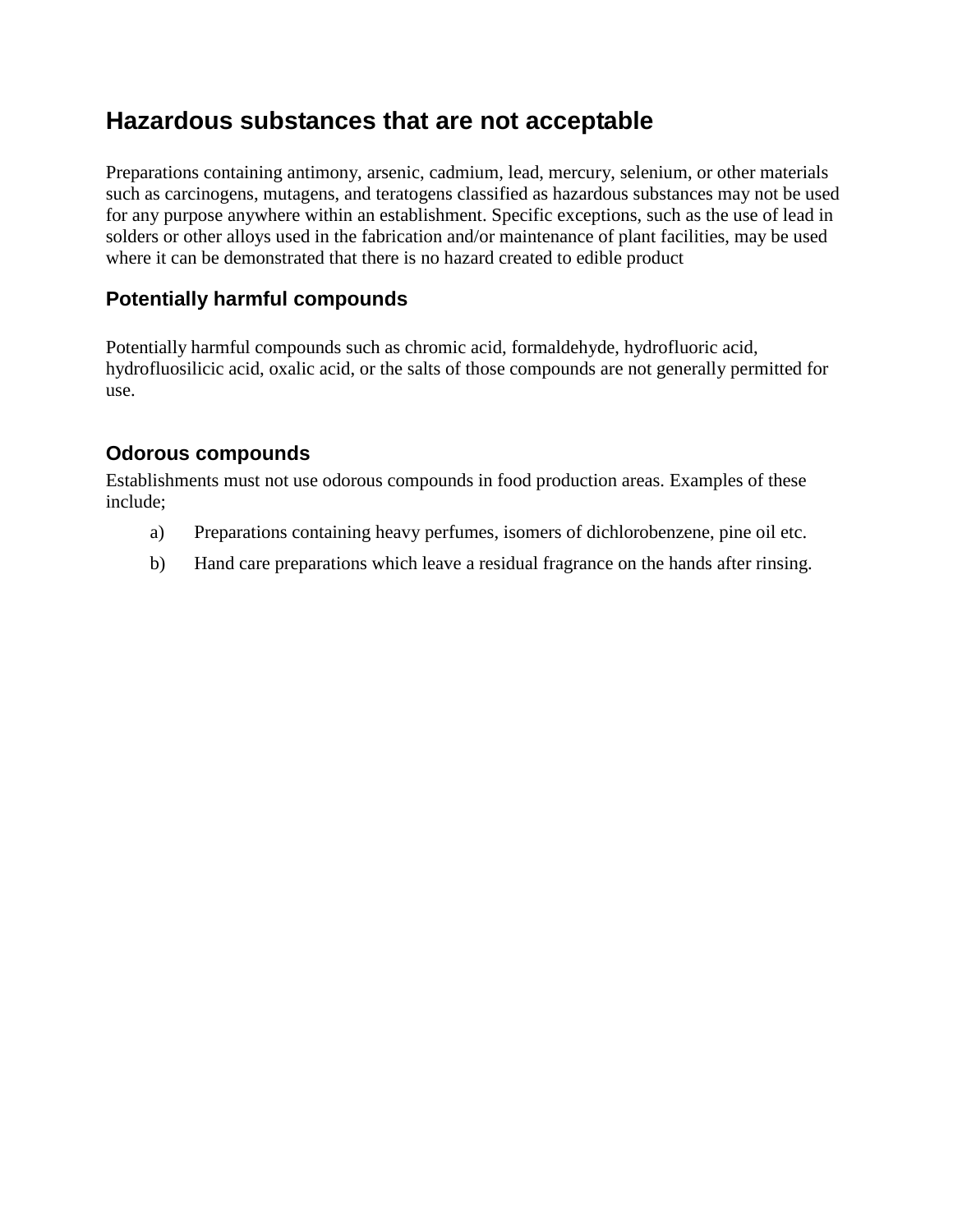## **Hazardous substances that are not acceptable**

Preparations containing antimony, arsenic, cadmium, lead, mercury, selenium, or other materials such as carcinogens, mutagens, and teratogens classified as hazardous substances may not be used for any purpose anywhere within an establishment. Specific exceptions, such as the use of lead in solders or other alloys used in the fabrication and/or maintenance of plant facilities, may be used where it can be demonstrated that there is no hazard created to edible product

## **Potentially harmful compounds**

Potentially harmful compounds such as chromic acid, formaldehyde, hydrofluoric acid, hydrofluosilicic acid, oxalic acid, or the salts of those compounds are not generally permitted for use.

## **Odorous compounds**

Establishments must not use odorous compounds in food production areas. Examples of these include;

- a) Preparations containing heavy perfumes, isomers of dichlorobenzene, pine oil etc.
- b) Hand care preparations which leave a residual fragrance on the hands after rinsing.